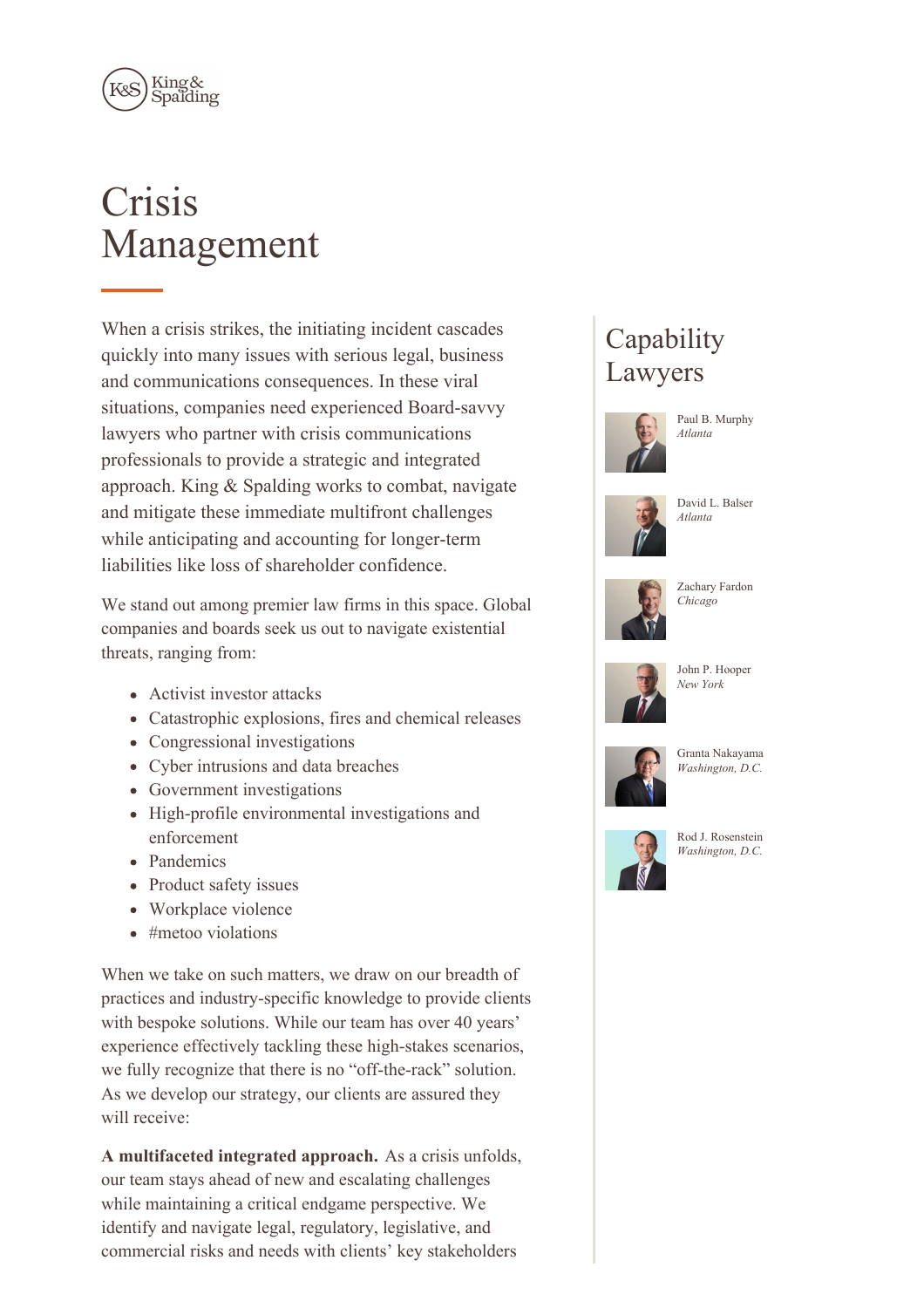

# **Crisis** Management

When a crisis strikes, the initiating incident cascades quickly into many issues with serious legal, business and communications consequences. In these viral situations, companies need experienced Board-savvy lawyers who partner with crisis communications professionals to provide a strategic and integrated approach. King & Spalding works to combat, navigate and mitigate these immediate multifront challenges while anticipating and accounting for longer-term liabilities like loss of shareholder confidence.

We stand out among premier law firms in this space. Global companies and boards seek us out to navigate existential threats, ranging from:

- Activist investor attacks
- Catastrophic explosions, fires and chemical releases
- Congressional investigations
- Cyber intrusions and data breaches
- Government investigations
- High-profile environmental investigations and enforcement
- Pandemics
- Product safety issues
- Workplace violence
- $*$  #metoo violations

When we take on such matters, we draw on our breadth of practices and industry-specific knowledge to provide clients with bespoke solutions. While our team has over 40 years' experience effectively tackling these high-stakes scenarios, we fully recognize that there is no "off-the-rack" solution. As we develop our strategy, our clients are assured they will receive:

**A multifaceted integrated approach.** As a crisis unfolds, our team stays ahead of new and escalating challenges while maintaining a critical endgame perspective. We identify and navigate legal, regulatory, legislative, and commercial risks and needs with clients' key stakeholders

# **Capability** Lawyers



Paul B. Murphy *Atlanta*

David L. Balser







Zachary Fardon *Chicago*



John P. Hooper *New York*



Granta Nakayama *Washington, D.C.*



Rod J. Rosenstein *Washington, D.C.*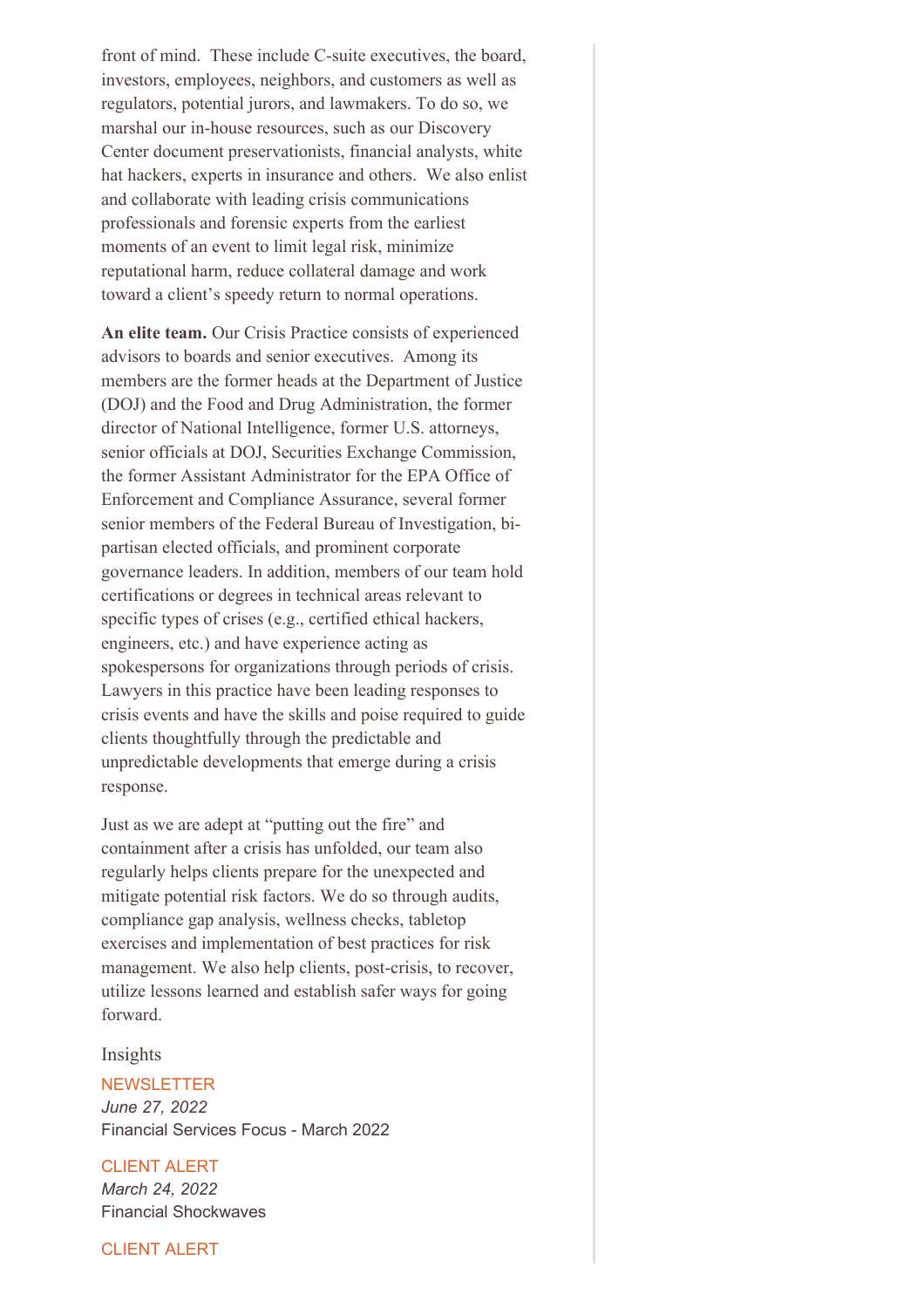front of mind. These include C-suite executives, the board, investors, employees, neighbors, and customers as well as regulators, potential jurors, and lawmakers. To do so, we marshal our in-house resources, such as our Discovery Center document preservationists, financial analysts, white hat hackers, experts in insurance and others. We also enlist and collaborate with leading crisis communications professionals and forensic experts from the earliest moments of an event to limit legal risk, minimize reputational harm, reduce collateral damage and work toward a client's speedy return to normal operations.

**An elite team.** Our Crisis Practice consists of experienced advisors to boards and senior executives. Among its members are the former heads at the Department of Justice (DOJ) and the Food and Drug Administration, the former director of National Intelligence, former U.S. attorneys, senior officials at DOJ, Securities Exchange Commission, the former Assistant Administrator for the EPA Office of Enforcement and Compliance Assurance, several former senior members of the Federal Bureau of Investigation, bipartisan elected officials, and prominent corporate governance leaders. In addition, members of our team hold certifications or degrees in technical areas relevant to specific types of crises (e.g., certified ethical hackers, engineers, etc.) and have experience acting as spokespersons for organizations through periods of crisis. Lawyers in this practice have been leading responses to crisis events and have the skills and poise required to guide clients thoughtfully through the predictable and unpredictable developments that emerge during a crisis response.

Just as we are adept at "putting out the fire" and containment after a crisis has unfolded, our team also regularly helps clients prepare for the unexpected and mitigate potential risk factors. We do so through audits, compliance gap analysis, wellness checks, tabletop exercises and implementation of best practices for risk management. We also help clients, post-crisis, to recover, utilize lessons learned and establish safer ways for going forward.

Insights

# **NEWSLETTER** *June 27, 2022* Financial Services Focus - March 2022

CLIENT ALERT

*March 24, 2022* Financial Shockwaves

CLIENT ALERT